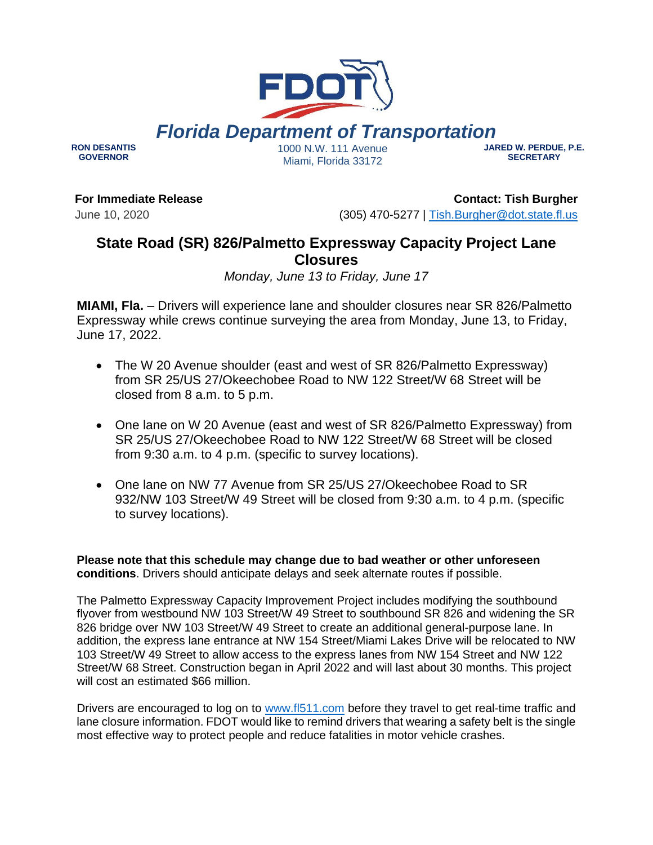## *Florida Department of Transportation*

**RON DESANTIS GOVERNOR**

1000 N.W. 111 Avenue Miami, Florida 33172

**JARED W. PERDUE, P.E. SECRETARY**

**For Immediate Release**

June 10, 2020

**Contact: Tish Burgher** (305) 470-5277 | [Tish.Burgher@dot.state.fl.us](mailto:Tish.Burgher@dot.state.fl.us)

## **State Road (SR) 826/Palmetto Expressway Capacity Project Lane Closures**

*Monday, June 13 to Friday, June 17*

**MIAMI, Fla.** – Drivers will experience lane and shoulder closures near SR 826/Palmetto Expressway while crews continue surveying the area from Monday, June 13, to Friday, June 17, 2022.

- The W 20 Avenue shoulder (east and west of SR 826/Palmetto Expressway) from SR 25/US 27/Okeechobee Road to NW 122 Street/W 68 Street will be closed from 8 a.m. to 5 p.m.
- One lane on W 20 Avenue (east and west of SR 826/Palmetto Expressway) from SR 25/US 27/Okeechobee Road to NW 122 Street/W 68 Street will be closed from 9:30 a.m. to 4 p.m. (specific to survey locations).
- One lane on NW 77 Avenue from SR 25/US 27/Okeechobee Road to SR 932/NW 103 Street/W 49 Street will be closed from 9:30 a.m. to 4 p.m. (specific to survey locations).

**Please note that this schedule may change due to bad weather or other unforeseen conditions**. Drivers should anticipate delays and seek alternate routes if possible.

The Palmetto Expressway Capacity Improvement Project includes modifying the southbound flyover from westbound NW 103 Street/W 49 Street to southbound SR 826 and widening the SR 826 bridge over NW 103 Street/W 49 Street to create an additional general-purpose lane. In addition, the express lane entrance at NW 154 Street/Miami Lakes Drive will be relocated to NW 103 Street/W 49 Street to allow access to the express lanes from NW 154 Street and NW 122 Street/W 68 Street. Construction began in April 2022 and will last about 30 months. This project will cost an estimated \$66 million.

Drivers are encouraged to log on to [www.fl511.com](http://www.fl511.com/) before they travel to get real-time traffic and lane closure information. FDOT would like to remind drivers that wearing a safety belt is the single most effective way to protect people and reduce fatalities in motor vehicle crashes.